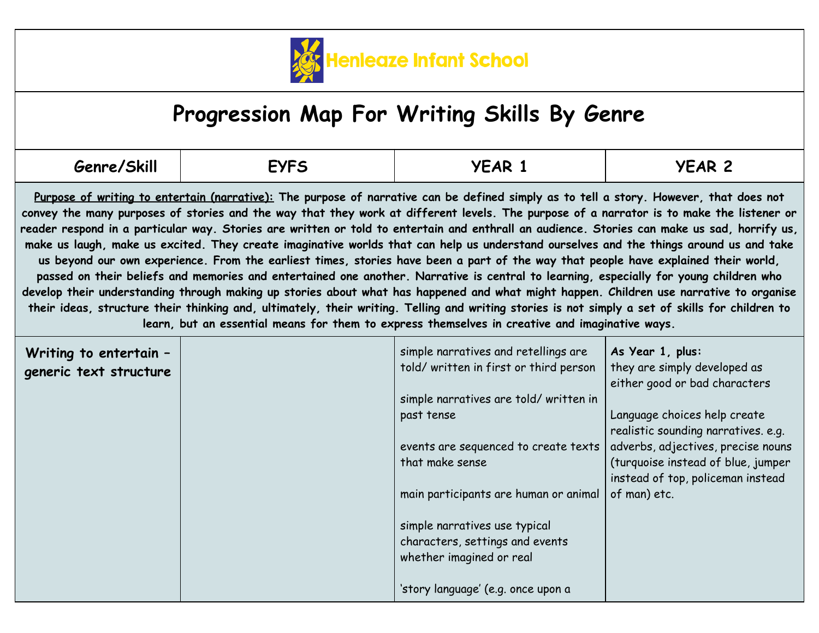

## **Progression Map For Writing Skills By Genre**

| Genre/Skill | <b>EYFS</b> | YEAR | <b>YEAR 2</b> |
|-------------|-------------|------|---------------|
|-------------|-------------|------|---------------|

Purpose of writing to entertain (narrative): The purpose of narrative can be defined simply as to tell a story. However, that does not convey the many purposes of stories and the way that they work at different levels. The purpose of a narrator is to make the listener or reader respond in a particular way. Stories are written or told to entertain and enthrall an audience. Stories can make us sad, horrify us, make us laugh, make us excited. They create imaginative worlds that can help us understand ourselves and the things around us and take us beyond our own experience. From the earliest times, stories have been a part of the way that people have explained their world, passed on their beliefs and memories and entertained one another. Narrative is central to learning, especially for young children who develop their understanding through making up stories about what has happened and what might happen. Children use narrative to organise their ideas, structure their thinking and, ultimately, their writing. Telling and writing stories is not simply a set of skills for children to **learn, but an essential means for them to express themselves in creative and imaginative ways.**

| Writing to entertain -<br>generic text structure | simple narratives and retellings are<br>told/written in first or third person | As Year 1, plus:<br>they are simply developed as<br>either good or bad characters |
|--------------------------------------------------|-------------------------------------------------------------------------------|-----------------------------------------------------------------------------------|
|                                                  | simple narratives are told/written in                                         |                                                                                   |
|                                                  | past tense                                                                    | Language choices help create<br>realistic sounding narratives. e.g.               |
|                                                  | events are sequenced to create texts                                          | adverbs, adjectives, precise nouns                                                |
|                                                  | that make sense                                                               | (turquoise instead of blue, jumper<br>instead of top, policeman instead           |
|                                                  | main participants are human or animal                                         | of man) etc.                                                                      |
|                                                  | simple narratives use typical                                                 |                                                                                   |
|                                                  | characters, settings and events                                               |                                                                                   |
|                                                  | whether imagined or real                                                      |                                                                                   |
|                                                  | 'story language' (e.g. once upon a                                            |                                                                                   |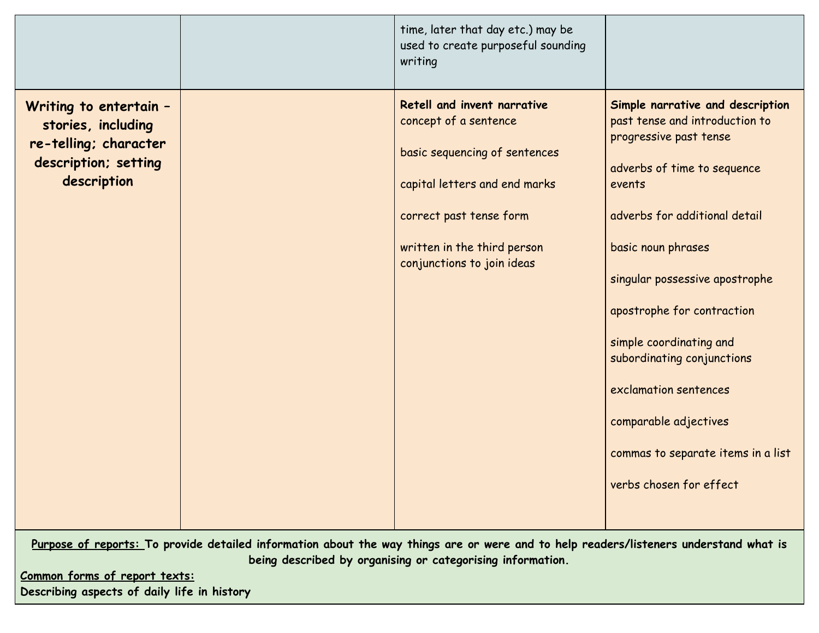|                                                                                                              | time, later that day etc.) may be<br>used to create purposeful sounding<br>writing                                                                                                                             |                                                                                                                                                                                                                                                                                                                                                                                                                                          |
|--------------------------------------------------------------------------------------------------------------|----------------------------------------------------------------------------------------------------------------------------------------------------------------------------------------------------------------|------------------------------------------------------------------------------------------------------------------------------------------------------------------------------------------------------------------------------------------------------------------------------------------------------------------------------------------------------------------------------------------------------------------------------------------|
| Writing to entertain -<br>stories, including<br>re-telling; character<br>description; setting<br>description | Retell and invent narrative<br>concept of a sentence<br>basic sequencing of sentences<br>capital letters and end marks<br>correct past tense form<br>written in the third person<br>conjunctions to join ideas | Simple narrative and description<br>past tense and introduction to<br>progressive past tense<br>adverbs of time to sequence<br>events<br>adverbs for additional detail<br>basic noun phrases<br>singular possessive apostrophe<br>apostrophe for contraction<br>simple coordinating and<br>subordinating conjunctions<br>exclamation sentences<br>comparable adjectives<br>commas to separate items in a list<br>verbs chosen for effect |

Purpose of reports: To provide detailed information about the way things are or were and to help readers/listeners understand what is **being described by organising or categorising information.**

**Common forms of report texts: Describing aspects of daily life in history**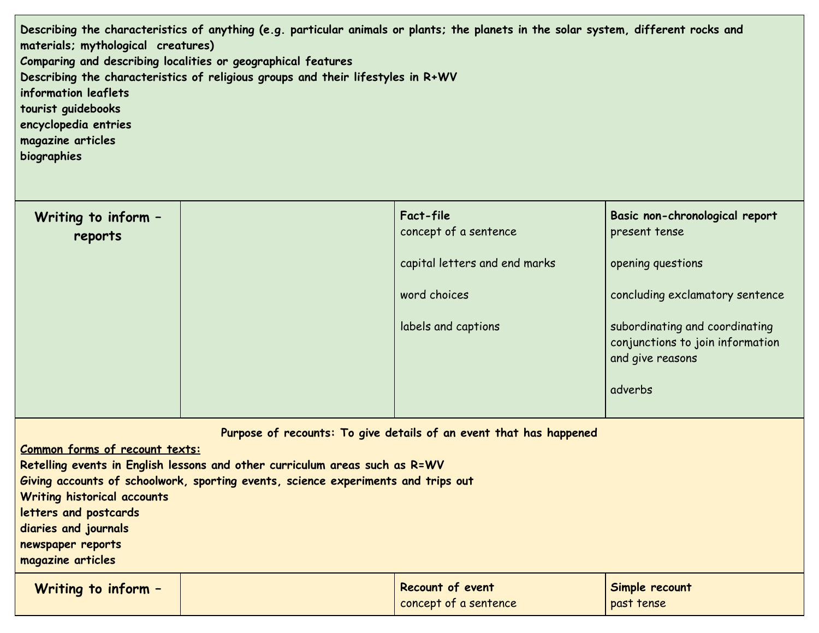Describing the characteristics of anything (e.g. particular animals or plants; the planets in the solar system, different rocks and **materials; mythological creatures) Comparing and describing localities or geographical features Describing the characteristics of religious groups and their lifestyles in R+WV information leaflets tourist guidebooks encyclopedia entries magazine articles biographies**

| Writing to inform -<br>reports | Fact-file<br>concept of a sentence | Basic non-chronological report<br>present tense                                                   |
|--------------------------------|------------------------------------|---------------------------------------------------------------------------------------------------|
|                                | capital letters and end marks      | opening questions                                                                                 |
|                                | word choices                       | concluding exclamatory sentence                                                                   |
|                                | labels and captions                | subordinating and coordinating<br>conjunctions to join information<br>and give reasons<br>adverbs |

**Purpose of recounts: To give details of an event that has happened**

**Common forms of recount texts:**

**Retelling events in English lessons and other curriculum areas such as R=WV**

**Giving accounts of schoolwork, sporting events, science experiments and trips out**

**Writing historical accounts**

**letters and postcards**

**diaries and journals**

**newspaper reports**

**magazine articles**

| Writing to inform - | Recount of event      | Simple recount |
|---------------------|-----------------------|----------------|
|                     | concept of a sentence | past tense     |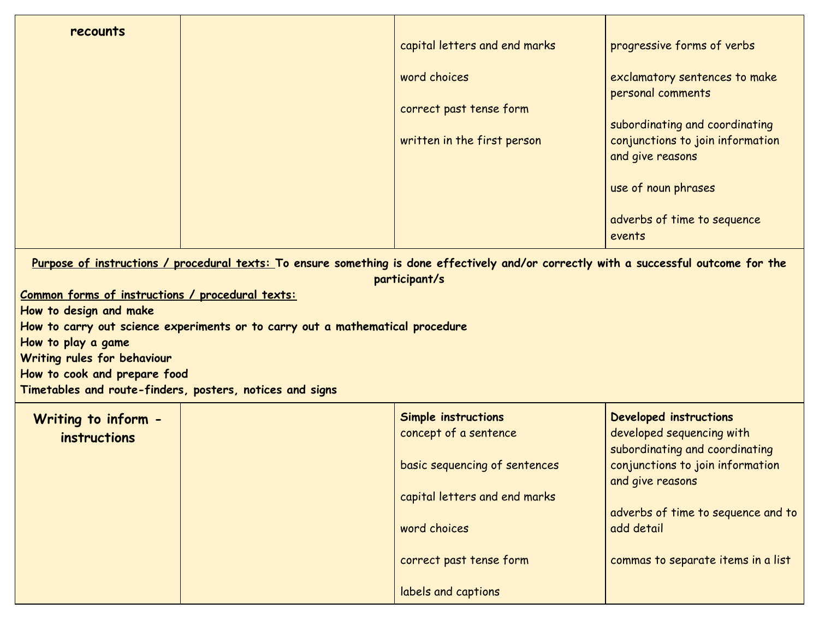| recounts | capital letters and end marks | progressive forms of verbs                           |
|----------|-------------------------------|------------------------------------------------------|
|          | word choices                  | exclamatory sentences to make<br>personal comments   |
|          | correct past tense form       | subordinating and coordinating                       |
|          | written in the first person   | conjunctions to join information<br>and give reasons |
|          |                               | use of noun phrases                                  |
|          |                               | adverbs of time to sequence<br>events                |
|          |                               |                                                      |

Purpose of instructions / procedural texts: To ensure something is done effectively and/or correctly with a successful outcome for the **participant/s**

**Common forms of instructions / procedural texts:**

**How to design and make**

**How to carry out science experiments or to carry out a mathematical procedure**

**How to play a game**

**Writing rules for behaviour**

**How to cook and prepare food**

**Timetables and route-finders, posters, notices and signs**

| Writing to inform -<br><i>instructions</i> | Simple instructions<br>concept of a sentence | Developed instructions<br>developed sequencing with<br>subordinating and coordinating |
|--------------------------------------------|----------------------------------------------|---------------------------------------------------------------------------------------|
|                                            | basic sequencing of sentences                | conjunctions to join information<br>and give reasons                                  |
|                                            | capital letters and end marks                | adverbs of time to sequence and to                                                    |
|                                            | word choices                                 | add detail                                                                            |
|                                            | correct past tense form                      | commas to separate items in a list                                                    |
|                                            | labels and captions                          |                                                                                       |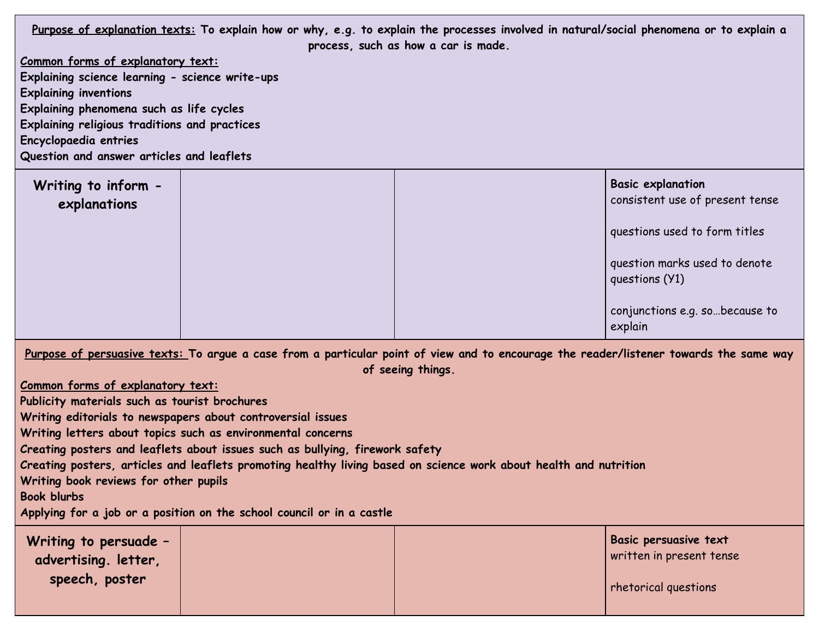Purpose of explanation texts: To explain how or why, e.g. to explain the processes involved in natural/social phenomena or to explain a **process, such as how a car is made.**

**Common forms of explanatory text:**

**Explaining science learning - science write-ups Explaining inventions**

**Explaining phenomena such as life cycles**

**Explaining religious traditions and practices**

**Encyclopaedia entries**

**Question and answer articles and leaflets**

| Writing to inform -<br>explanations |  | <b>Basic explanation</b><br>consistent use of present tense |
|-------------------------------------|--|-------------------------------------------------------------|
|                                     |  | questions used to form titles                               |
|                                     |  | question marks used to denote<br>questions (Y1)             |
|                                     |  | conjunctions e.g. sobecause to<br>explain                   |

Purpose of persuasive texts: To argue a case from a particular point of view and to encourage the reader/listener towards the same way **of seeing things.**

**Common forms of explanatory text:**

**Publicity materials such as tourist brochures**

**Writing editorials to newspapers about controversial issues**

**Writing letters about topics such as environmental concerns**

**Creating posters and leaflets about issues such as bullying, firework safety**

Creating posters, articles and leaflets promoting healthy living based on science work about health and nutrition

**Writing book reviews for other pupils**

**Book blurbs**

**Applying for a job or a position on the school council or in a castle**

| Writing to persuade -<br>advertising. letter, |  | <b>Basic persuasive text</b><br>written in present tense |
|-----------------------------------------------|--|----------------------------------------------------------|
| speech, poster                                |  | rhetorical questions                                     |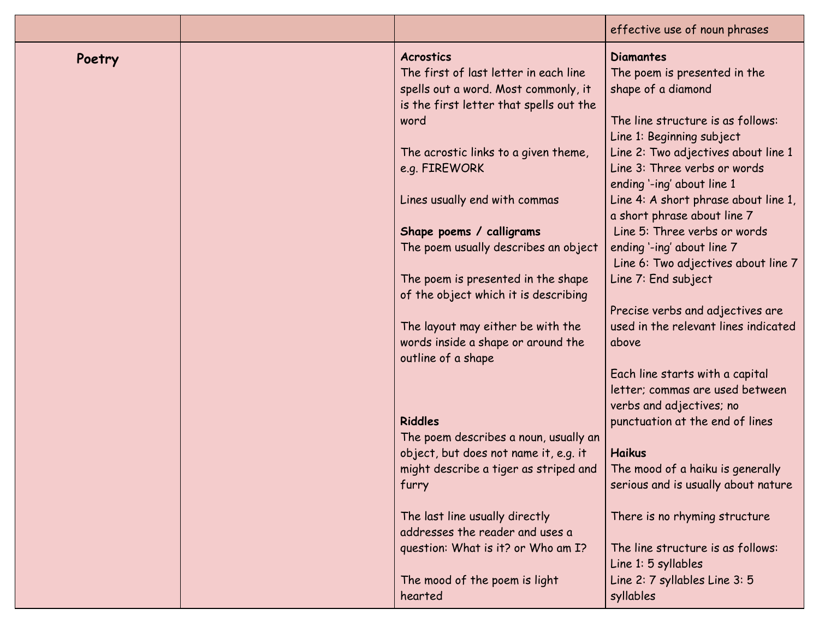|        |                                                                                                                                                      | effective use of noun phrases                                                                                                            |
|--------|------------------------------------------------------------------------------------------------------------------------------------------------------|------------------------------------------------------------------------------------------------------------------------------------------|
| Poetry | <b>Acrostics</b><br>The first of last letter in each line<br>spells out a word. Most commonly, it<br>is the first letter that spells out the<br>word | <b>Diamantes</b><br>The poem is presented in the<br>shape of a diamond<br>The line structure is as follows:<br>Line 1: Beginning subject |
|        | The acrostic links to a given theme,<br>e.g. FIREWORK                                                                                                | Line 2: Two adjectives about line 1<br>Line 3: Three verbs or words<br>ending '-ing' about line 1                                        |
|        | Lines usually end with commas                                                                                                                        | Line 4: A short phrase about line 1,<br>a short phrase about line 7                                                                      |
|        | Shape poems / calligrams<br>The poem usually describes an object                                                                                     | Line 5: Three verbs or words<br>ending '-ing' about line 7                                                                               |
|        |                                                                                                                                                      | Line 6: Two adjectives about line 7                                                                                                      |
|        | The poem is presented in the shape<br>of the object which it is describing                                                                           | Line 7: End subject                                                                                                                      |
|        |                                                                                                                                                      | Precise verbs and adjectives are                                                                                                         |
|        | The layout may either be with the<br>words inside a shape or around the<br>outline of a shape                                                        | used in the relevant lines indicated<br>above                                                                                            |
|        |                                                                                                                                                      | Each line starts with a capital<br>letter; commas are used between                                                                       |
|        | <b>Riddles</b>                                                                                                                                       | verbs and adjectives; no<br>punctuation at the end of lines                                                                              |
|        | The poem describes a noun, usually an                                                                                                                |                                                                                                                                          |
|        | object, but does not name it, e.g. it<br>might describe a tiger as striped and<br>furry                                                              | <b>Haikus</b><br>The mood of a haiku is generally<br>serious and is usually about nature                                                 |
|        | The last line usually directly<br>addresses the reader and uses a                                                                                    | There is no rhyming structure                                                                                                            |
|        | question: What is it? or Who am I?                                                                                                                   | The line structure is as follows:<br>Line 1: 5 syllables                                                                                 |
|        | The mood of the poem is light<br>hearted                                                                                                             | Line 2: 7 syllables Line 3: 5<br>syllables                                                                                               |